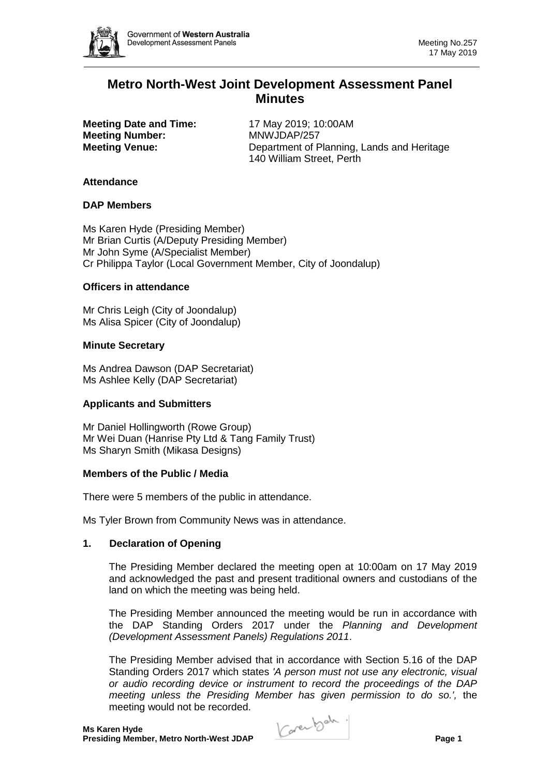

# **Metro North-West Joint Development Assessment Panel Minutes**

**Meeting Date and Time:** 17 May 2019: 10:00AM **Meeting Number:** MNWJDAP/257

**Meeting Venue:** Department of Planning, Lands and Heritage 140 William Street, Perth

### **Attendance**

### **DAP Members**

Ms Karen Hyde (Presiding Member) Mr Brian Curtis (A/Deputy Presiding Member) Mr John Syme (A/Specialist Member) Cr Philippa Taylor (Local Government Member, City of Joondalup)

# **Officers in attendance**

Mr Chris Leigh (City of Joondalup) Ms Alisa Spicer (City of Joondalup)

### **Minute Secretary**

Ms Andrea Dawson (DAP Secretariat) Ms Ashlee Kelly (DAP Secretariat)

# **Applicants and Submitters**

Mr Daniel Hollingworth (Rowe Group) Mr Wei Duan (Hanrise Pty Ltd & Tang Family Trust) Ms Sharyn Smith (Mikasa Designs)

### **Members of the Public / Media**

There were 5 members of the public in attendance.

Ms Tyler Brown from Community News was in attendance.

### **1. Declaration of Opening**

The Presiding Member declared the meeting open at 10:00am on 17 May 2019 and acknowledged the past and present traditional owners and custodians of the land on which the meeting was being held.

The Presiding Member announced the meeting would be run in accordance with the DAP Standing Orders 2017 under the *Planning and Development (Development Assessment Panels) Regulations 2011*.

The Presiding Member advised that in accordance with Section 5.16 of the DAP Standing Orders 2017 which states *'A person must not use any electronic, visual or audio recording device or instrument to record the proceedings of the DAP meeting unless the Presiding Member has given permission to do so.',* the meeting would not be recorded.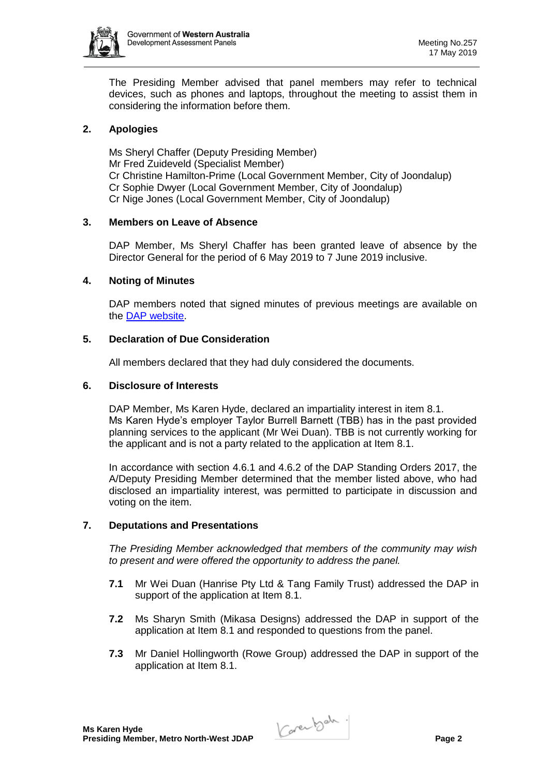

The Presiding Member advised that panel members may refer to technical devices, such as phones and laptops, throughout the meeting to assist them in considering the information before them.

# **2. Apologies**

Ms Sheryl Chaffer (Deputy Presiding Member) Mr Fred Zuideveld (Specialist Member) Cr Christine Hamilton-Prime (Local Government Member, City of Joondalup) Cr Sophie Dwyer (Local Government Member, City of Joondalup) Cr Nige Jones (Local Government Member, City of Joondalup)

# **3. Members on Leave of Absence**

DAP Member, Ms Sheryl Chaffer has been granted leave of absence by the Director General for the period of 6 May 2019 to 7 June 2019 inclusive.

### **4. Noting of Minutes**

DAP members noted that signed minutes of previous meetings are available on the [DAP website.](https://www.dplh.wa.gov.au/about/development-assessment-panels/daps-agendas-and-minutes)

### **5. Declaration of Due Consideration**

All members declared that they had duly considered the documents.

### **6. Disclosure of Interests**

DAP Member, Ms Karen Hyde, declared an impartiality interest in item 8.1. Ms Karen Hyde's employer Taylor Burrell Barnett (TBB) has in the past provided planning services to the applicant (Mr Wei Duan). TBB is not currently working for the applicant and is not a party related to the application at Item 8.1.

In accordance with section 4.6.1 and 4.6.2 of the DAP Standing Orders 2017, the A/Deputy Presiding Member determined that the member listed above, who had disclosed an impartiality interest, was permitted to participate in discussion and voting on the item.

# **7. Deputations and Presentations**

*The Presiding Member acknowledged that members of the community may wish to present and were offered the opportunity to address the panel.*

- **7.1** Mr Wei Duan (Hanrise Pty Ltd & Tang Family Trust) addressed the DAP in support of the application at Item 8.1.
- **7.2** Ms Sharyn Smith (Mikasa Designs) addressed the DAP in support of the application at Item 8.1 and responded to questions from the panel.
- **7.3** Mr Daniel Hollingworth (Rowe Group) addressed the DAP in support of the application at Item 8.1.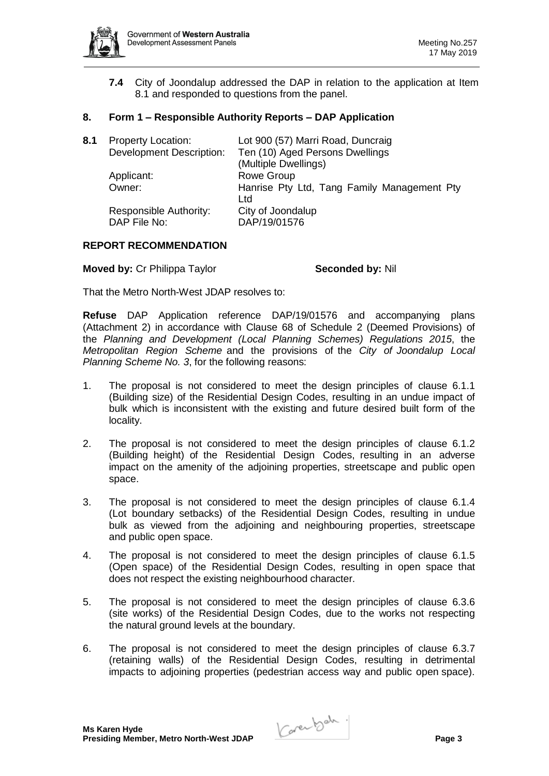

**7.4** City of Joondalup addressed the DAP in relation to the application at Item 8.1 and responded to questions from the panel.

## **8. Form 1 – Responsible Authority Reports – DAP Application**

| 8.1 | <b>Property Location:</b>              | Lot 900 (57) Marri Road, Duncraig                  |
|-----|----------------------------------------|----------------------------------------------------|
|     | <b>Development Description:</b>        | Ten (10) Aged Persons Dwellings                    |
|     |                                        | (Multiple Dwellings)                               |
|     | Applicant:                             | Rowe Group                                         |
|     | Owner:                                 | Hanrise Pty Ltd, Tang Family Management Pty<br>Ltd |
|     | Responsible Authority:<br>DAP File No: | City of Joondalup<br>DAP/19/01576                  |

### **REPORT RECOMMENDATION**

**Moved by: Cr Philippa Taylor <b>Seconded by: Nil** Seconded by: Nil

That the Metro North-West JDAP resolves to:

**Refuse** DAP Application reference DAP/19/01576 and accompanying plans (Attachment 2) in accordance with Clause 68 of Schedule 2 (Deemed Provisions) of the *Planning and Development (Local Planning Schemes) Regulations 2015*, the *Metropolitan Region Scheme* and the provisions of the *City of Joondalup Local Planning Scheme No. 3*, for the following reasons:

- 1. The proposal is not considered to meet the design principles of clause 6.1.1 (Building size) of the Residential Design Codes, resulting in an undue impact of bulk which is inconsistent with the existing and future desired built form of the locality.
- 2. The proposal is not considered to meet the design principles of clause 6.1.2 (Building height) of the Residential Design Codes, resulting in an adverse impact on the amenity of the adjoining properties, streetscape and public open space.
- 3. The proposal is not considered to meet the design principles of clause 6.1.4 (Lot boundary setbacks) of the Residential Design Codes, resulting in undue bulk as viewed from the adjoining and neighbouring properties, streetscape and public open space.
- 4. The proposal is not considered to meet the design principles of clause 6.1.5 (Open space) of the Residential Design Codes, resulting in open space that does not respect the existing neighbourhood character.
- 5. The proposal is not considered to meet the design principles of clause 6.3.6 (site works) of the Residential Design Codes, due to the works not respecting the natural ground levels at the boundary.
- 6. The proposal is not considered to meet the design principles of clause 6.3.7 (retaining walls) of the Residential Design Codes, resulting in detrimental impacts to adjoining properties (pedestrian access way and public open space).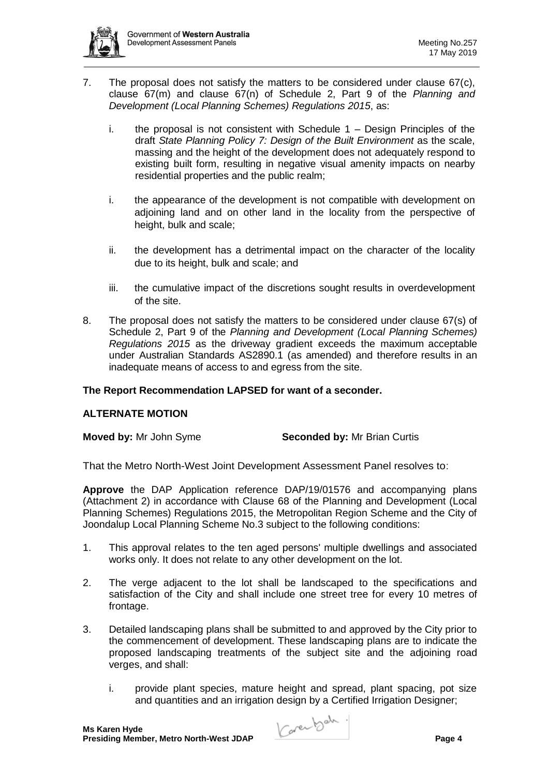

- 7. The proposal does not satisfy the matters to be considered under clause 67(c), clause 67(m) and clause 67(n) of Schedule 2, Part 9 of the *Planning and Development (Local Planning Schemes) Regulations 2015*, as:
	- i. the proposal is not consistent with Schedule 1 Design Principles of the draft *State Planning Policy 7: Design of the Built Environment* as the scale, massing and the height of the development does not adequately respond to existing built form, resulting in negative visual amenity impacts on nearby residential properties and the public realm;
	- i. the appearance of the development is not compatible with development on adjoining land and on other land in the locality from the perspective of height, bulk and scale;
	- ii. the development has a detrimental impact on the character of the locality due to its height, bulk and scale; and
	- iii. the cumulative impact of the discretions sought results in overdevelopment of the site.
- 8. The proposal does not satisfy the matters to be considered under clause 67(s) of Schedule 2, Part 9 of the *Planning and Development (Local Planning Schemes) Regulations 2015* as the driveway gradient exceeds the maximum acceptable under Australian Standards AS2890.1 (as amended) and therefore results in an inadequate means of access to and egress from the site.

# **The Report Recommendation LAPSED for want of a seconder.**

# **ALTERNATE MOTION**

### **Moved by:** Mr John Syme **Seconded by:** Mr Brian Curtis

That the Metro North-West Joint Development Assessment Panel resolves to:

**Approve** the DAP Application reference DAP/19/01576 and accompanying plans (Attachment 2) in accordance with Clause 68 of the Planning and Development (Local Planning Schemes) Regulations 2015, the Metropolitan Region Scheme and the City of Joondalup Local Planning Scheme No.3 subject to the following conditions:

- 1. This approval relates to the ten aged persons' multiple dwellings and associated works only. It does not relate to any other development on the lot.
- 2. The verge adjacent to the lot shall be landscaped to the specifications and satisfaction of the City and shall include one street tree for every 10 metres of frontage.
- 3. Detailed landscaping plans shall be submitted to and approved by the City prior to the commencement of development. These landscaping plans are to indicate the proposed landscaping treatments of the subject site and the adjoining road verges, and shall:
	- i. provide plant species, mature height and spread, plant spacing, pot size and quantities and an irrigation design by a Certified Irrigation Designer;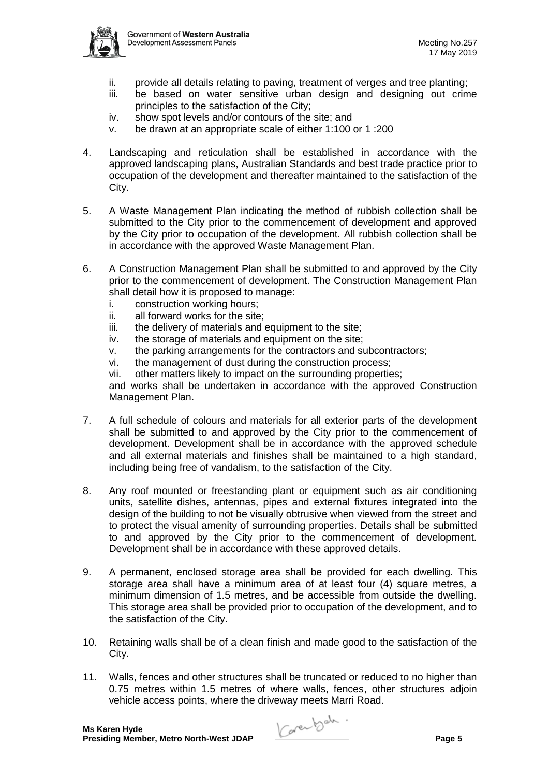

- ii. provide all details relating to paving, treatment of verges and tree planting;
- iii. be based on water sensitive urban design and designing out crime principles to the satisfaction of the City;
- iv. show spot levels and/or contours of the site; and
- v. be drawn at an appropriate scale of either 1:100 or 1 :200
- 4. Landscaping and reticulation shall be established in accordance with the approved landscaping plans, Australian Standards and best trade practice prior to occupation of the development and thereafter maintained to the satisfaction of the City.
- 5. A Waste Management Plan indicating the method of rubbish collection shall be submitted to the City prior to the commencement of development and approved by the City prior to occupation of the development. All rubbish collection shall be in accordance with the approved Waste Management Plan.
- 6. A Construction Management Plan shall be submitted to and approved by the City prior to the commencement of development. The Construction Management Plan shall detail how it is proposed to manage:
	- i. construction working hours;
	- ii. all forward works for the site;
	- iii. the delivery of materials and equipment to the site;
	- iv. the storage of materials and equipment on the site;
	- v. the parking arrangements for the contractors and subcontractors;
	- vi. the management of dust during the construction process;
	- vii. other matters likely to impact on the surrounding properties;

and works shall be undertaken in accordance with the approved Construction Management Plan.

- 7. A full schedule of colours and materials for all exterior parts of the development shall be submitted to and approved by the City prior to the commencement of development. Development shall be in accordance with the approved schedule and all external materials and finishes shall be maintained to a high standard, including being free of vandalism, to the satisfaction of the City.
- 8. Any roof mounted or freestanding plant or equipment such as air conditioning units, satellite dishes, antennas, pipes and external fixtures integrated into the design of the building to not be visually obtrusive when viewed from the street and to protect the visual amenity of surrounding properties. Details shall be submitted to and approved by the City prior to the commencement of development. Development shall be in accordance with these approved details.
- 9. A permanent, enclosed storage area shall be provided for each dwelling. This storage area shall have a minimum area of at least four (4) square metres, a minimum dimension of 1.5 metres, and be accessible from outside the dwelling. This storage area shall be provided prior to occupation of the development, and to the satisfaction of the City.
- 10. Retaining walls shall be of a clean finish and made good to the satisfaction of the City.
- 11. Walls, fences and other structures shall be truncated or reduced to no higher than 0.75 metres within 1.5 metres of where walls, fences, other structures adjoin vehicle access points, where the driveway meets Marri Road.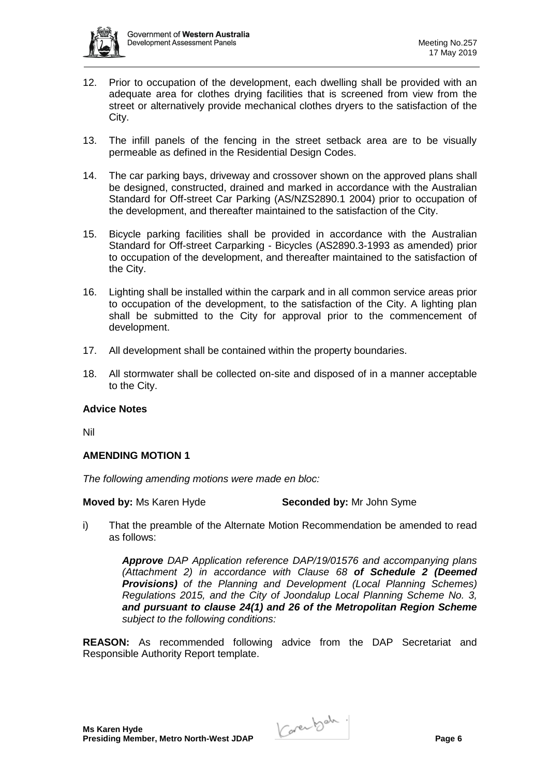

- 12. Prior to occupation of the development, each dwelling shall be provided with an adequate area for clothes drying facilities that is screened from view from the street or alternatively provide mechanical clothes dryers to the satisfaction of the City.
- 13. The infill panels of the fencing in the street setback area are to be visually permeable as defined in the Residential Design Codes.
- 14. The car parking bays, driveway and crossover shown on the approved plans shall be designed, constructed, drained and marked in accordance with the Australian Standard for Off-street Car Parking (AS/NZS2890.1 2004) prior to occupation of the development, and thereafter maintained to the satisfaction of the City.
- 15. Bicycle parking facilities shall be provided in accordance with the Australian Standard for Off-street Carparking - Bicycles (AS2890.3-1993 as amended) prior to occupation of the development, and thereafter maintained to the satisfaction of the City.
- 16. Lighting shall be installed within the carpark and in all common service areas prior to occupation of the development, to the satisfaction of the City. A lighting plan shall be submitted to the City for approval prior to the commencement of development.
- 17. All development shall be contained within the property boundaries.
- 18. All stormwater shall be collected on-site and disposed of in a manner acceptable to the City.

### **Advice Notes**

Nil

### **AMENDING MOTION 1**

*The following amending motions were made en bloc:*

**Moved by:** Ms Karen Hyde **Seconded by:** Mr John Syme

i) That the preamble of the Alternate Motion Recommendation be amended to read as follows:

> *Approve DAP Application reference DAP/19/01576 and accompanying plans (Attachment 2) in accordance with Clause 68 of Schedule 2 (Deemed Provisions) of the Planning and Development (Local Planning Schemes) Regulations 2015, and the City of Joondalup Local Planning Scheme No. 3, and pursuant to clause 24(1) and 26 of the Metropolitan Region Scheme subject to the following conditions:*

**REASON:** As recommended following advice from the DAP Secretariat and Responsible Authority Report template.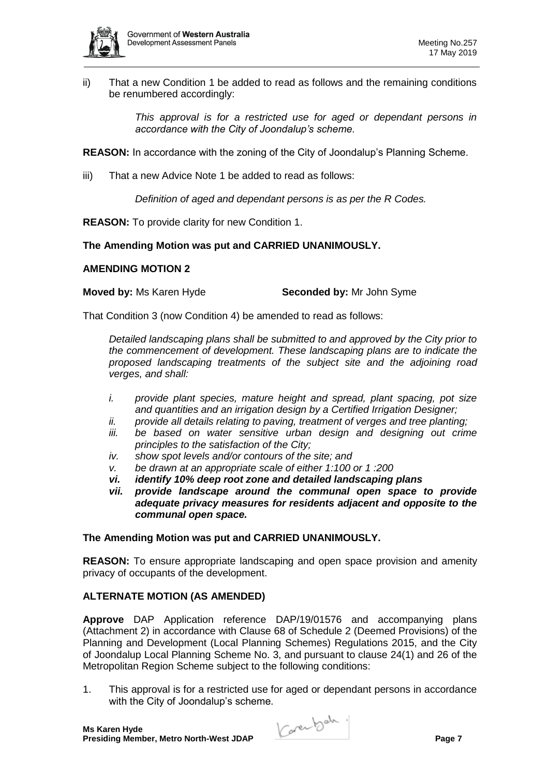

ii) That a new Condition 1 be added to read as follows and the remaining conditions be renumbered accordingly:

> *This approval is for a restricted use for aged or dependant persons in accordance with the City of Joondalup's scheme.*

**REASON:** In accordance with the zoning of the City of Joondalup's Planning Scheme.

iii) That a new Advice Note 1 be added to read as follows:

*Definition of aged and dependant persons is as per the R Codes.*

**REASON:** To provide clarity for new Condition 1.

# **The Amending Motion was put and CARRIED UNANIMOUSLY.**

### **AMENDING MOTION 2**

**Moved by:** Ms Karen Hyde **Seconded by:** Mr John Syme

That Condition 3 (now Condition 4) be amended to read as follows:

*Detailed landscaping plans shall be submitted to and approved by the City prior to the commencement of development. These landscaping plans are to indicate the proposed landscaping treatments of the subject site and the adjoining road verges, and shall:*

- *i. provide plant species, mature height and spread, plant spacing, pot size and quantities and an irrigation design by a Certified Irrigation Designer;*
- *ii. provide all details relating to paving, treatment of verges and tree planting;*
- *iii. be based on water sensitive urban design and designing out crime principles to the satisfaction of the City;*
- *iv. show spot levels and/or contours of the site; and*
- *v. be drawn at an appropriate scale of either 1:100 or 1 :200*
- *vi. identify 10% deep root zone and detailed landscaping plans*
- provide landscape around the communal open space to provide *adequate privacy measures for residents adjacent and opposite to the communal open space.*

### **The Amending Motion was put and CARRIED UNANIMOUSLY.**

**REASON:** To ensure appropriate landscaping and open space provision and amenity privacy of occupants of the development.

### **ALTERNATE MOTION (AS AMENDED)**

**Approve** DAP Application reference DAP/19/01576 and accompanying plans (Attachment 2) in accordance with Clause 68 of Schedule 2 (Deemed Provisions) of the Planning and Development (Local Planning Schemes) Regulations 2015, and the City of Joondalup Local Planning Scheme No. 3, and pursuant to clause 24(1) and 26 of the Metropolitan Region Scheme subject to the following conditions:

1. This approval is for a restricted use for aged or dependant persons in accordance with the City of Joondalup's scheme.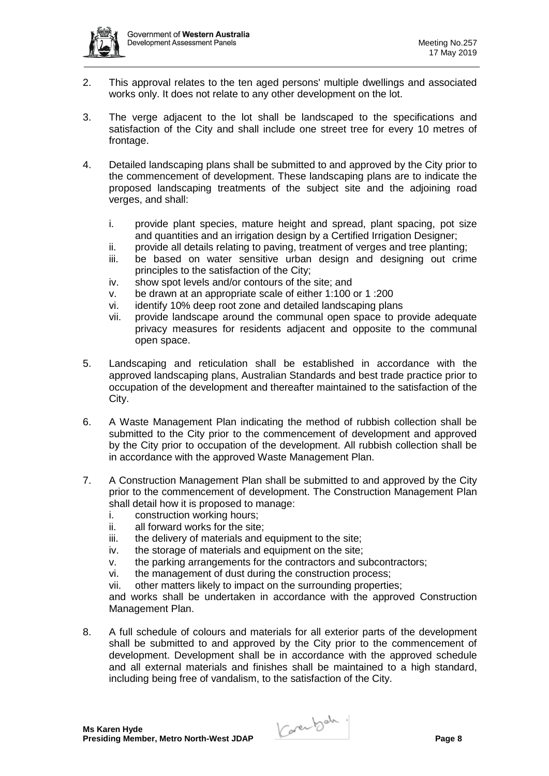

- 2. This approval relates to the ten aged persons' multiple dwellings and associated works only. It does not relate to any other development on the lot.
- 3. The verge adjacent to the lot shall be landscaped to the specifications and satisfaction of the City and shall include one street tree for every 10 metres of frontage.
- 4. Detailed landscaping plans shall be submitted to and approved by the City prior to the commencement of development. These landscaping plans are to indicate the proposed landscaping treatments of the subject site and the adjoining road verges, and shall:
	- i. provide plant species, mature height and spread, plant spacing, pot size and quantities and an irrigation design by a Certified Irrigation Designer;
	- ii. provide all details relating to paving, treatment of verges and tree planting;
	- iii. be based on water sensitive urban design and designing out crime principles to the satisfaction of the City;
	- iv. show spot levels and/or contours of the site; and
	- v. be drawn at an appropriate scale of either 1:100 or 1 :200
	- vi. identify 10% deep root zone and detailed landscaping plans
	- vii. provide landscape around the communal open space to provide adequate privacy measures for residents adjacent and opposite to the communal open space.
- 5. Landscaping and reticulation shall be established in accordance with the approved landscaping plans, Australian Standards and best trade practice prior to occupation of the development and thereafter maintained to the satisfaction of the City.
- 6. A Waste Management Plan indicating the method of rubbish collection shall be submitted to the City prior to the commencement of development and approved by the City prior to occupation of the development. All rubbish collection shall be in accordance with the approved Waste Management Plan.
- 7. A Construction Management Plan shall be submitted to and approved by the City prior to the commencement of development. The Construction Management Plan shall detail how it is proposed to manage:
	- i. construction working hours;
	- ii. all forward works for the site;
	- iii. the delivery of materials and equipment to the site;
	- iv. the storage of materials and equipment on the site;
	- v. the parking arrangements for the contractors and subcontractors;
	- vi. the management of dust during the construction process;
	- vii. other matters likely to impact on the surrounding properties;

and works shall be undertaken in accordance with the approved Construction Management Plan.

8. A full schedule of colours and materials for all exterior parts of the development shall be submitted to and approved by the City prior to the commencement of development. Development shall be in accordance with the approved schedule and all external materials and finishes shall be maintained to a high standard, including being free of vandalism, to the satisfaction of the City.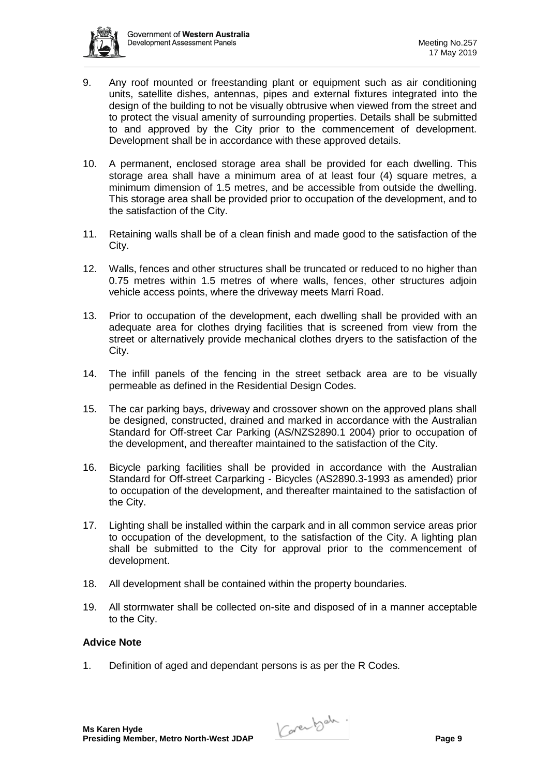

- 9. Any roof mounted or freestanding plant or equipment such as air conditioning units, satellite dishes, antennas, pipes and external fixtures integrated into the design of the building to not be visually obtrusive when viewed from the street and to protect the visual amenity of surrounding properties. Details shall be submitted to and approved by the City prior to the commencement of development. Development shall be in accordance with these approved details.
- 10. A permanent, enclosed storage area shall be provided for each dwelling. This storage area shall have a minimum area of at least four (4) square metres, a minimum dimension of 1.5 metres, and be accessible from outside the dwelling. This storage area shall be provided prior to occupation of the development, and to the satisfaction of the City.
- 11. Retaining walls shall be of a clean finish and made good to the satisfaction of the City.
- 12. Walls, fences and other structures shall be truncated or reduced to no higher than 0.75 metres within 1.5 metres of where walls, fences, other structures adjoin vehicle access points, where the driveway meets Marri Road.
- 13. Prior to occupation of the development, each dwelling shall be provided with an adequate area for clothes drying facilities that is screened from view from the street or alternatively provide mechanical clothes dryers to the satisfaction of the City.
- 14. The infill panels of the fencing in the street setback area are to be visually permeable as defined in the Residential Design Codes.
- 15. The car parking bays, driveway and crossover shown on the approved plans shall be designed, constructed, drained and marked in accordance with the Australian Standard for Off-street Car Parking (AS/NZS2890.1 2004) prior to occupation of the development, and thereafter maintained to the satisfaction of the City.
- 16. Bicycle parking facilities shall be provided in accordance with the Australian Standard for Off-street Carparking - Bicycles (AS2890.3-1993 as amended) prior to occupation of the development, and thereafter maintained to the satisfaction of the City.
- 17. Lighting shall be installed within the carpark and in all common service areas prior to occupation of the development, to the satisfaction of the City. A lighting plan shall be submitted to the City for approval prior to the commencement of development.
- 18. All development shall be contained within the property boundaries.
- 19. All stormwater shall be collected on-site and disposed of in a manner acceptable to the City.

### **Advice Note**

1. Definition of aged and dependant persons is as per the R Codes*.*